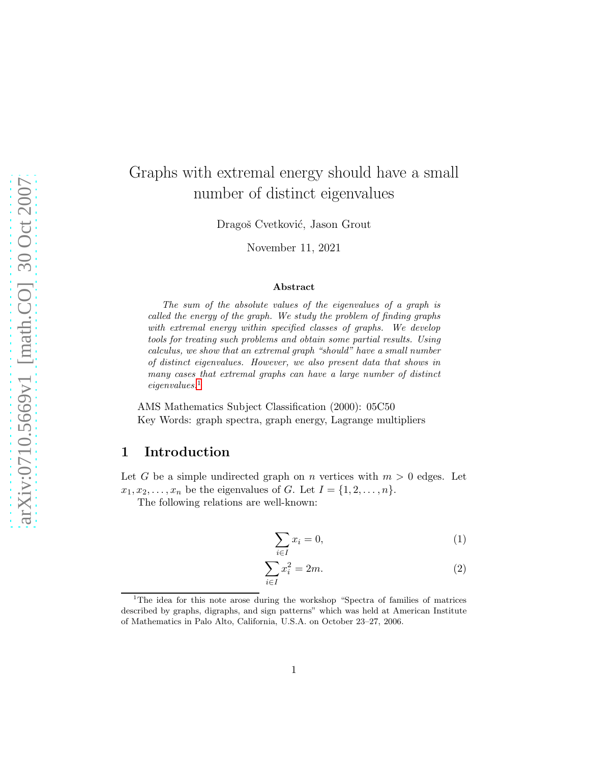# Graphs with extremal energy should have a small number of distinct eigenvalues

Dragoš Cvetković, Jason Grout

November 11, 2021

#### Abstract

The sum of the absolute values of the eigenvalues of a graph is called the energy of the graph. We study the problem of finding graphs with extremal energy within specified classes of graphs. We develop tools for treating such problems and obtain some partial results. Using calculus, we show that an extremal graph "should" have a small number of distinct eigenvalues. However, we also present data that shows in many cases that extremal graphs can have a large number of distinct eigenvalues.[1](#page-0-0)

AMS Mathematics Subject Classification (2000): 05C50 Key Words: graph spectra, graph energy, Lagrange multipliers

# 1 Introduction

Let G be a simple undirected graph on n vertices with  $m > 0$  edges. Let  $x_1, x_2, \ldots, x_n$  be the eigenvalues of G. Let  $I = \{1, 2, \ldots, n\}.$ 

The following relations are well-known:

<span id="page-0-2"></span><span id="page-0-1"></span>
$$
\sum_{i \in I} x_i = 0,\tag{1}
$$

$$
\sum_{i \in I} x_i^2 = 2m. \tag{2}
$$

<span id="page-0-0"></span><sup>&</sup>lt;sup>1</sup>The idea for this note arose during the workshop "Spectra of families of matrices described by graphs, digraphs, and sign patterns" which was held at American Institute of Mathematics in Palo Alto, California, U.S.A. on October 23–27, 2006.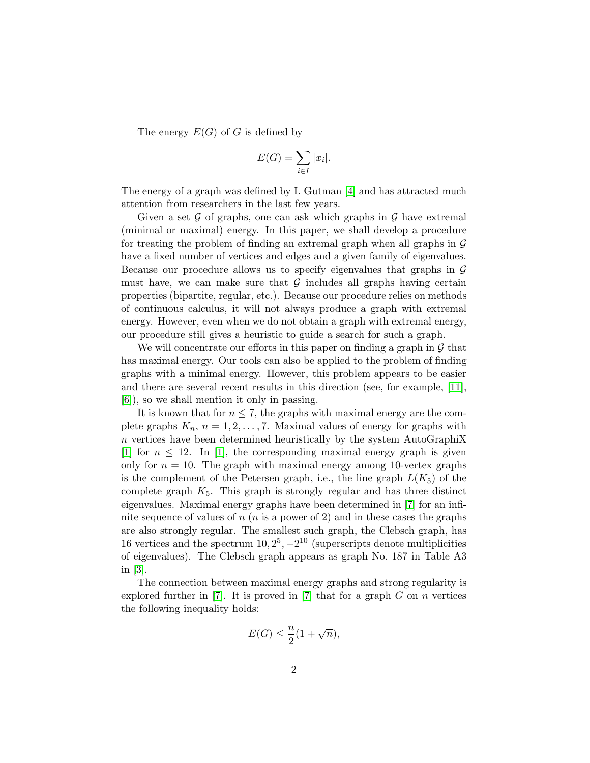The energy  $E(G)$  of G is defined by

$$
E(G) = \sum_{i \in I} |x_i|.
$$

The energy of a graph was defined by I. Gutman [\[4\]](#page-14-0) and has attracted much attention from researchers in the last few years.

Given a set  $\mathcal G$  of graphs, one can ask which graphs in  $\mathcal G$  have extremal (minimal or maximal) energy. In this paper, we shall develop a procedure for treating the problem of finding an extremal graph when all graphs in  $\mathcal G$ have a fixed number of vertices and edges and a given family of eigenvalues. Because our procedure allows us to specify eigenvalues that graphs in  $G$ must have, we can make sure that  $\mathcal G$  includes all graphs having certain properties (bipartite, regular, etc.). Because our procedure relies on methods of continuous calculus, it will not always produce a graph with extremal energy. However, even when we do not obtain a graph with extremal energy, our procedure still gives a heuristic to guide a search for such a graph.

We will concentrate our efforts in this paper on finding a graph in  $\mathcal G$  that has maximal energy. Our tools can also be applied to the problem of finding graphs with a minimal energy. However, this problem appears to be easier and there are several recent results in this direction (see, for example, [\[11\]](#page-15-0), [\[6\]](#page-14-1)), so we shall mention it only in passing.

It is known that for  $n \leq 7$ , the graphs with maximal energy are the complete graphs  $K_n$ ,  $n = 1, 2, ..., 7$ . Maximal values of energy for graphs with  $n$  vertices have been determined heuristically by the system AutoGraphiX [\[1\]](#page-14-2) for  $n \leq 12$ . In [\[1\]](#page-14-2), the corresponding maximal energy graph is given only for  $n = 10$ . The graph with maximal energy among 10-vertex graphs is the complement of the Petersen graph, i.e., the line graph  $L(K_5)$  of the complete graph  $K_5$ . This graph is strongly regular and has three distinct eigenvalues. Maximal energy graphs have been determined in [\[7\]](#page-14-3) for an infinite sequence of values of  $n(n)$  is a power of 2) and in these cases the graphs are also strongly regular. The smallest such graph, the Clebsch graph, has 16 vertices and the spectrum  $10, 2^5, -2^{10}$  (superscripts denote multiplicities of eigenvalues). The Clebsch graph appears as graph No. 187 in Table A3 in [\[3\]](#page-14-4).

The connection between maximal energy graphs and strong regularity is explored further in [\[7\]](#page-14-3). It is proved in [7] that for a graph  $G$  on  $n$  vertices the following inequality holds:

$$
E(G) \le \frac{n}{2}(1+\sqrt{n}),
$$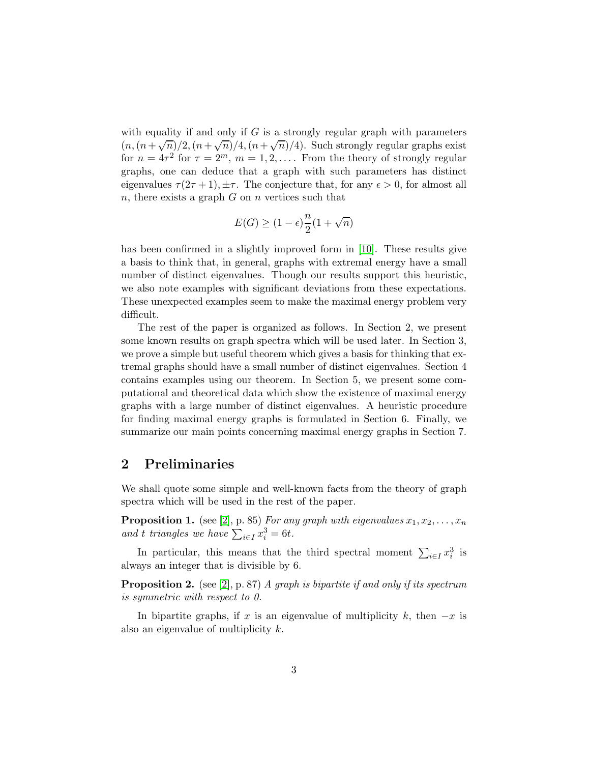with equality if and only if  $G$  is a strongly regular graph with parameters  $(n,(n+\sqrt{n})/2,(n+\sqrt{n})/4,(n+\sqrt{n})/4)$ . Such strongly regular graphs exist for  $n = 4\tau^2$  for  $\tau = 2^m$ ,  $m = 1, 2, \ldots$ . From the theory of strongly regular graphs, one can deduce that a graph with such parameters has distinct eigenvalues  $\tau(2\tau+1), \pm \tau$ . The conjecture that, for any  $\epsilon > 0$ , for almost all n, there exists a graph  $G$  on n vertices such that

$$
E(G) \ge (1 - \epsilon) \frac{n}{2} (1 + \sqrt{n})
$$

has been confirmed in a slightly improved form in [\[10\]](#page-15-1). These results give a basis to think that, in general, graphs with extremal energy have a small number of distinct eigenvalues. Though our results support this heuristic, we also note examples with significant deviations from these expectations. These unexpected examples seem to make the maximal energy problem very difficult.

The rest of the paper is organized as follows. In Section 2, we present some known results on graph spectra which will be used later. In Section 3, we prove a simple but useful theorem which gives a basis for thinking that extremal graphs should have a small number of distinct eigenvalues. Section 4 contains examples using our theorem. In Section 5, we present some computational and theoretical data which show the existence of maximal energy graphs with a large number of distinct eigenvalues. A heuristic procedure for finding maximal energy graphs is formulated in Section 6. Finally, we summarize our main points concerning maximal energy graphs in Section 7.

#### 2 Preliminaries

We shall quote some simple and well-known facts from the theory of graph spectra which will be used in the rest of the paper.

**Proposition 1.** (see [\[2\]](#page-14-5), p. 85) For any graph with eigenvalues  $x_1, x_2, \ldots, x_n$ and t triangles we have  $\sum_{i \in I} x_i^3 = 6t$ .

In particular, this means that the third spectral moment  $\sum_{i \in I} x_i^3$  is always an integer that is divisible by 6.

**Proposition 2.** (see [\[2\]](#page-14-5), p. 87) A graph is bipartite if and only if its spectrum is symmetric with respect to 0.

In bipartite graphs, if x is an eigenvalue of multiplicity k, then  $-x$  is also an eigenvalue of multiplicity k.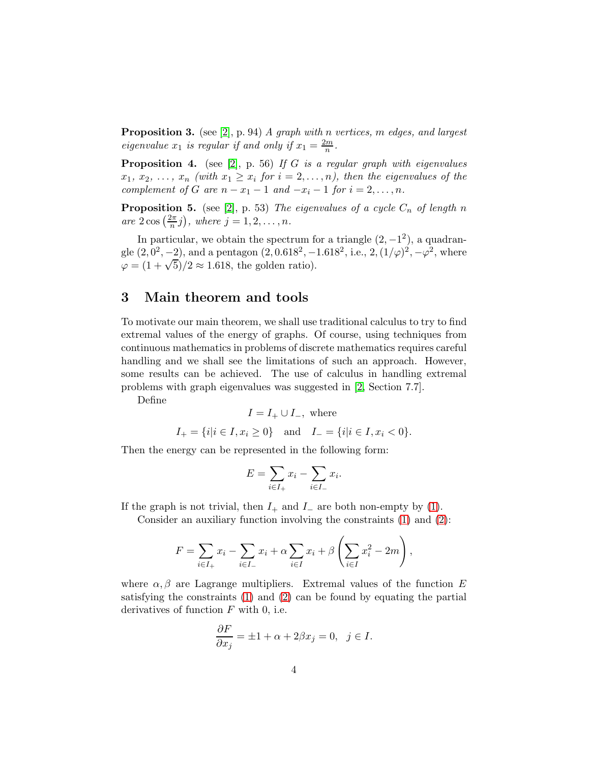**Proposition 3.** (see [\[2\]](#page-14-5), p. 94) A graph with n vertices, m edges, and largest eigenvalue  $x_1$  is regular if and only if  $x_1 = \frac{2m}{n}$  $\frac{m}{n}$ .

**Proposition 4.** (see [\[2\]](#page-14-5), p. 56) If G is a regular graph with eigenvalues  $x_1, x_2, \ldots, x_n$  (with  $x_1 \ge x_i$  for  $i = 2, \ldots, n$ ), then the eigenvalues of the complement of G are  $n - x_1 - 1$  and  $-x_i - 1$  for  $i = 2, ..., n$ .

**Proposition 5.** (see [\[2\]](#page-14-5), p. 53) The eigenvalues of a cycle  $C_n$  of length n are  $2 \cos \left( \frac{2\pi}{n} \right)$  $\frac{2\pi}{n}j$ , where  $j=1,2,\ldots,n$ .

In particular, we obtain the spectrum for a triangle  $(2, -1^2)$ , a quadrangle  $(2,0^2,-2)$ , and a pentagon  $(2,0.618^2,-1.618^2, i.e., 2, (1/\varphi)^2, -\varphi^2$ , where  $\varphi = (1 + \sqrt{5})/2 \approx 1.618$ , the golden ratio).

#### 3 Main theorem and tools

To motivate our main theorem, we shall use traditional calculus to try to find extremal values of the energy of graphs. Of course, using techniques from continuous mathematics in problems of discrete mathematics requires careful handling and we shall see the limitations of such an approach. However, some results can be achieved. The use of calculus in handling extremal problems with graph eigenvalues was suggested in [\[2,](#page-14-5) Section 7.7].

Define

$$
I = I_+ \cup I_-, \text{ where}
$$
  

$$
I_+ = \{i | i \in I, x_i \ge 0\} \text{ and } I_- = \{i | i \in I, x_i < 0\}.
$$

Then the energy can be represented in the following form:

$$
E = \sum_{i \in I_+} x_i - \sum_{i \in I_-} x_i.
$$

If the graph is not trivial, then  $I_+$  and  $I_-$  are both non-empty by [\(1\)](#page-0-1).

Consider an auxiliary function involving the constraints [\(1\)](#page-0-1) and [\(2\)](#page-0-2):

$$
F = \sum_{i \in I_+} x_i - \sum_{i \in I_-} x_i + \alpha \sum_{i \in I} x_i + \beta \left( \sum_{i \in I} x_i^2 - 2m \right),
$$

where  $\alpha, \beta$  are Lagrange multipliers. Extremal values of the function E satisfying the constraints [\(1\)](#page-0-1) and [\(2\)](#page-0-2) can be found by equating the partial derivatives of function  $F$  with 0, i.e.

$$
\frac{\partial F}{\partial x_j} = \pm 1 + \alpha + 2\beta x_j = 0, \ \ j \in I.
$$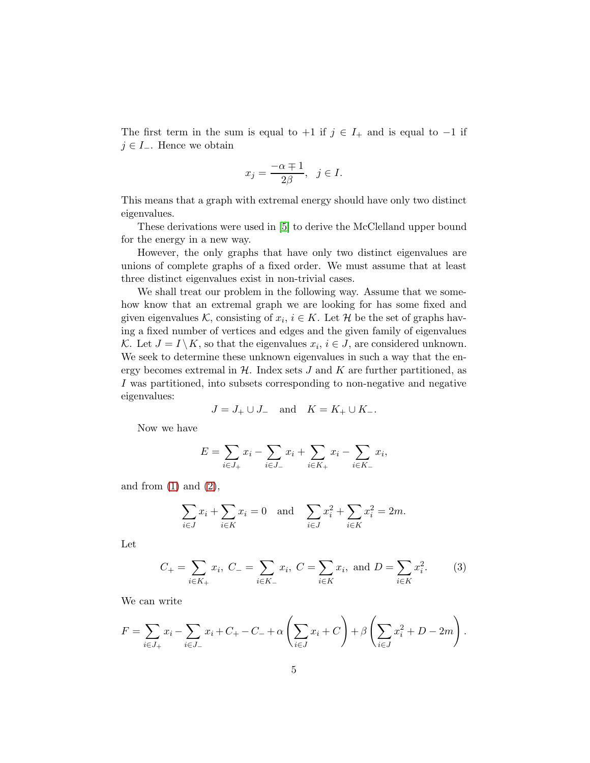The first term in the sum is equal to  $+1$  if  $j \in I_+$  and is equal to  $-1$  if  $j \in I_-.$  Hence we obtain

$$
x_j = \frac{-\alpha \mp 1}{2\beta}, \ \ j \in I.
$$

This means that a graph with extremal energy should have only two distinct eigenvalues.

These derivations were used in [\[5\]](#page-14-6) to derive the McClelland upper bound for the energy in a new way.

However, the only graphs that have only two distinct eigenvalues are unions of complete graphs of a fixed order. We must assume that at least three distinct eigenvalues exist in non-trivial cases.

We shall treat our problem in the following way. Assume that we somehow know that an extremal graph we are looking for has some fixed and given eigenvalues K, consisting of  $x_i$ ,  $i \in K$ . Let H be the set of graphs having a fixed number of vertices and edges and the given family of eigenvalues K. Let  $J = I \setminus K$ , so that the eigenvalues  $x_i, i \in J$ , are considered unknown. We seek to determine these unknown eigenvalues in such a way that the energy becomes extremal in  $H$ . Index sets  $J$  and  $K$  are further partitioned, as I was partitioned, into subsets corresponding to non-negative and negative eigenvalues:

$$
J = J_+ \cup J_- \quad \text{and} \quad K = K_+ \cup K_-.
$$

Now we have

$$
E = \sum_{i \in J_+} x_i - \sum_{i \in J_-} x_i + \sum_{i \in K_+} x_i - \sum_{i \in K_-} x_i,
$$

and from  $(1)$  and  $(2)$ ,

$$
\sum_{i \in J} x_i + \sum_{i \in K} x_i = 0 \text{ and } \sum_{i \in J} x_i^2 + \sum_{i \in K} x_i^2 = 2m.
$$

Let

$$
C_{+} = \sum_{i \in K_{+}} x_{i}, \ C_{-} = \sum_{i \in K_{-}} x_{i}, \ C = \sum_{i \in K} x_{i}, \text{ and } D = \sum_{i \in K} x_{i}^{2}.
$$
 (3)

We can write

$$
F = \sum_{i \in J_+} x_i - \sum_{i \in J_-} x_i + C_+ - C_- + \alpha \left( \sum_{i \in J} x_i + C \right) + \beta \left( \sum_{i \in J} x_i^2 + D - 2m \right).
$$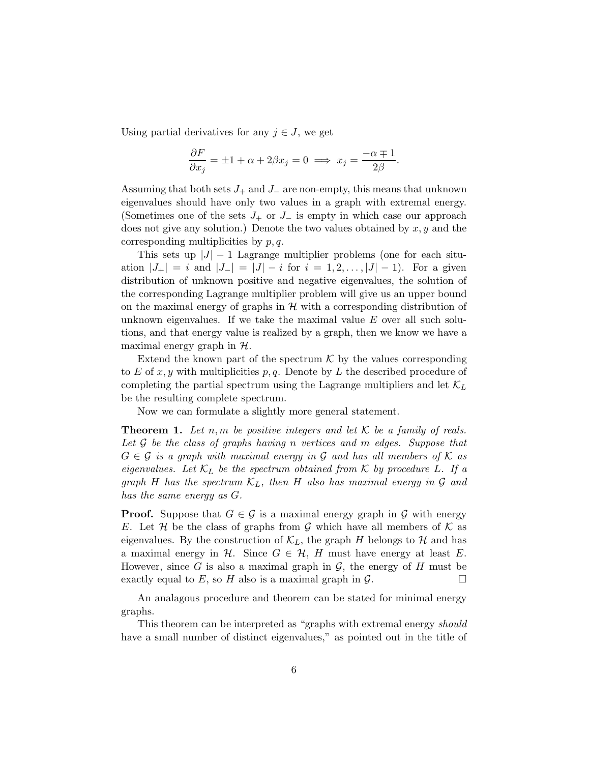Using partial derivatives for any  $j \in J$ , we get

$$
\frac{\partial F}{\partial x_j} = \pm 1 + \alpha + 2\beta x_j = 0 \implies x_j = \frac{-\alpha \mp 1}{2\beta}.
$$

Assuming that both sets  $J_+$  and  $J_-$  are non-empty, this means that unknown eigenvalues should have only two values in a graph with extremal energy. (Sometimes one of the sets  $J_+$  or  $J_-$  is empty in which case our approach does not give any solution.) Denote the two values obtained by  $x, y$  and the corresponding multiplicities by  $p, q$ .

This sets up  $|J| - 1$  Lagrange multiplier problems (one for each situation  $|J_+| = i$  and  $|J_-| = |J| - i$  for  $i = 1, 2, ..., |J| - 1$ . For a given distribution of unknown positive and negative eigenvalues, the solution of the corresponding Lagrange multiplier problem will give us an upper bound on the maximal energy of graphs in  $\mathcal H$  with a corresponding distribution of unknown eigenvalues. If we take the maximal value  $E$  over all such solutions, and that energy value is realized by a graph, then we know we have a maximal energy graph in  $H$ .

Extend the known part of the spectrum  $K$  by the values corresponding to E of x, y with multiplicities p, q. Denote by L the described procedure of completing the partial spectrum using the Lagrange multipliers and let  $\mathcal{K}_L$ be the resulting complete spectrum.

Now we can formulate a slightly more general statement.

**Theorem 1.** Let n, m be positive integers and let  $K$  be a family of reals. Let  $\mathcal G$  be the class of graphs having n vertices and m edges. Suppose that  $G \in \mathcal{G}$  is a graph with maximal energy in  $\mathcal{G}$  and has all members of  $\mathcal{K}$  as eigenvalues. Let  $\mathcal{K}_L$  be the spectrum obtained from K by procedure L. If a graph H has the spectrum  $K_L$ , then H also has maximal energy in G and has the same energy as G.

**Proof.** Suppose that  $G \in \mathcal{G}$  is a maximal energy graph in  $\mathcal{G}$  with energy E. Let H be the class of graphs from G which have all members of K as eigenvalues. By the construction of  $\mathcal{K}_L$ , the graph H belongs to H and has a maximal energy in H. Since  $G \in \mathcal{H}$ , H must have energy at least E. However, since G is also a maximal graph in G, the energy of H must be exactly equal to E, so H also is a maximal graph in  $G$ . exactly equal to  $E$ , so  $H$  also is a maximal graph in  $\mathcal{G}$ .

An analagous procedure and theorem can be stated for minimal energy graphs.

This theorem can be interpreted as "graphs with extremal energy should have a small number of distinct eigenvalues," as pointed out in the title of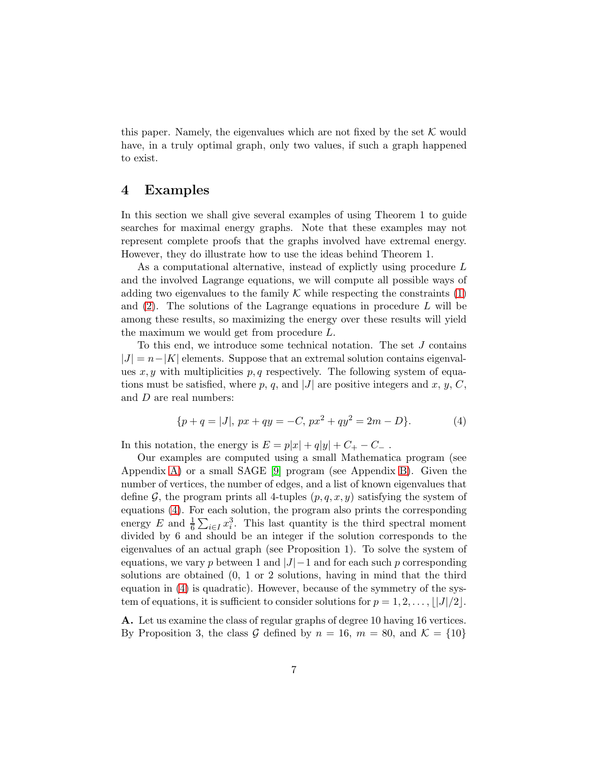this paper. Namely, the eigenvalues which are not fixed by the set  $K$  would have, in a truly optimal graph, only two values, if such a graph happened to exist.

#### 4 Examples

In this section we shall give several examples of using Theorem 1 to guide searches for maximal energy graphs. Note that these examples may not represent complete proofs that the graphs involved have extremal energy. However, they do illustrate how to use the ideas behind Theorem 1.

As a computational alternative, instead of explictly using procedure L and the involved Lagrange equations, we will compute all possible ways of adding two eigenvalues to the family  $\mathcal K$  while respecting the constraints [\(1\)](#page-0-1) and  $(2)$ . The solutions of the Lagrange equations in procedure L will be among these results, so maximizing the energy over these results will yield the maximum we would get from procedure L.

To this end, we introduce some technical notation. The set J contains  $|J| = n - |K|$  elements. Suppose that an extremal solution contains eigenvalues x, y with multiplicities  $p, q$  respectively. The following system of equations must be satisfied, where p, q, and |J| are positive integers and x, y, C, and D are real numbers:

<span id="page-6-0"></span>
$$
\{p+q=|J|, px+qy=-C, px^2+qy^2=2m-D\}.
$$
 (4)

In this notation, the energy is  $E = p|x| + q|y| + C_+ - C_-$ .

Our examples are computed using a small Mathematica program (see Appendix [A\)](#page-15-2) or a small SAGE [\[9\]](#page-14-7) program (see Appendix [B\)](#page-15-3). Given the number of vertices, the number of edges, and a list of known eigenvalues that define G, the program prints all 4-tuples  $(p, q, x, y)$  satisfying the system of equations [\(4\)](#page-6-0). For each solution, the program also prints the corresponding energy E and  $\frac{1}{6}\sum_{i\in I}x_i^3$ . This last quantity is the third spectral moment divided by 6 and should be an integer if the solution corresponds to the eigenvalues of an actual graph (see Proposition 1). To solve the system of equations, we vary p between 1 and  $|J|-1$  and for each such p corresponding solutions are obtained (0, 1 or 2 solutions, having in mind that the third equation in [\(4\)](#page-6-0) is quadratic). However, because of the symmetry of the system of equations, it is sufficient to consider solutions for  $p = 1, 2, \ldots, |J|/2$ .

A. Let us examine the class of regular graphs of degree 10 having 16 vertices. By Proposition 3, the class G defined by  $n = 16$ ,  $m = 80$ , and  $\mathcal{K} = \{10\}$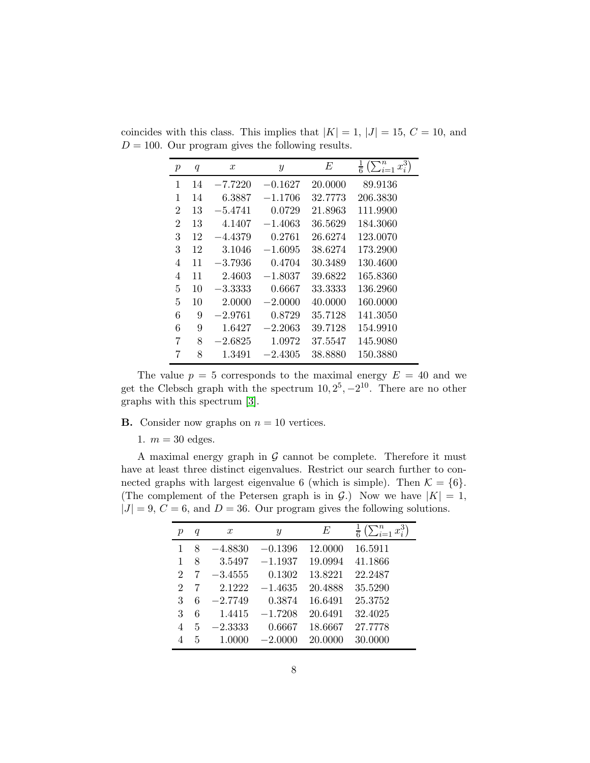|                  |                  |                  |               |                  | $\lceil n \rceil$                        |
|------------------|------------------|------------------|---------------|------------------|------------------------------------------|
| $\boldsymbol{p}$ | $\boldsymbol{q}$ | $\boldsymbol{x}$ | $\mathcal{Y}$ | $\boldsymbol{E}$ | $\frac{1}{6}$<br>$x_i^3$<br>$\sum_{i=1}$ |
| 1                | 14               | $-7.7220$        | $-0.1627$     | 20.0000          | 89.9136                                  |
| 1                | 14               | 6.3887           | $-1.1706$     | 32.7773          | 206.3830                                 |
| $\overline{2}$   | 13               | $-5.4741$        | 0.0729        | 21.8963          | 111.9900                                 |
| $\overline{2}$   | 13               | 4.1407           | $-1.4063$     | 36.5629          | 184.3060                                 |
| 3                | 12               | $-4.4379$        | 0.2761        | 26.6274          | 123.0070                                 |
| 3                | 12               | 3.1046           | $-1.6095$     | 38.6274          | 173.2900                                 |
| $\overline{4}$   | 11               | $-3.7936$        | 0.4704        | 30.3489          | 130.4600                                 |
| 4                | 11               | 2.4603           | $-1.8037$     | 39.6822          | 165.8360                                 |
| 5                | 10               | $-3.3333$        | 0.6667        | 33.3333          | 136.2960                                 |
| 5                | 10               | 2.0000           | $-2.0000$     | 40.0000          | 160.0000                                 |
| 6                | 9                | $-2.9761$        | 0.8729        | 35.7128          | 141.3050                                 |
| 6                | 9                | 1.6427           | $-2.2063$     | 39.7128          | 154.9910                                 |
| 7                | 8                | $-2.6825$        | 1.0972        | 37.5547          | 145.9080                                 |
| 7                | 8                | 1.3491           | $-2.4305$     | 38.8880          | 150.3880                                 |

coincides with this class. This implies that  $|K| = 1$ ,  $|J| = 15$ ,  $C = 10$ , and  $D = 100$ . Our program gives the following results.

The value  $p = 5$  corresponds to the maximal energy  $E = 40$  and we get the Clebsch graph with the spectrum  $10, 2^5, -2^{10}$ . There are no other graphs with this spectrum [\[3\]](#page-14-4).

**B.** Consider now graphs on  $n = 10$  vertices.

1.  $m = 30$  edges.

A maximal energy graph in  $\mathcal G$  cannot be complete. Therefore it must have at least three distinct eigenvalues. Restrict our search further to connected graphs with largest eigenvalue 6 (which is simple). Then  $\mathcal{K} = \{6\}$ . (The complement of the Petersen graph is in  $G$ .) Now we have  $|K| = 1$ ,  $|J| = 9, C = 6$ , and  $D = 36$ . Our program gives the following solutions.

| $\boldsymbol{p}$ | q | $\boldsymbol{x}$ | $\mathcal{Y}$ | E       | $\sum_{i=1}^{n}$<br>$x_i^3$ |
|------------------|---|------------------|---------------|---------|-----------------------------|
| 1                | 8 | $-4.8830$        | $-0.1396$     | 12.0000 | 16.5911                     |
| 1                | 8 | 3.5497           | $-1.1937$     | 19.0994 | 41.1866                     |
| $\overline{2}$   |   | $-3.4555$        | 0.1302        | 13.8221 | 22.2487                     |
| $\overline{2}$   |   | 2.1222           | $-1.4635$     | 20.4888 | 35.5290                     |
| 3                | 6 | $-2.7749$        | 0.3874        | 16.6491 | 25.3752                     |
| 3                | 6 | 1.4415           | $-1.7208$     | 20.6491 | 32.4025                     |
| 4                | 5 | $-2.3333$        | 0.6667        | 18.6667 | 27.7778                     |
| 4                | 5 | 1.0000           | $-2.0000$     | 20,0000 | 30,0000                     |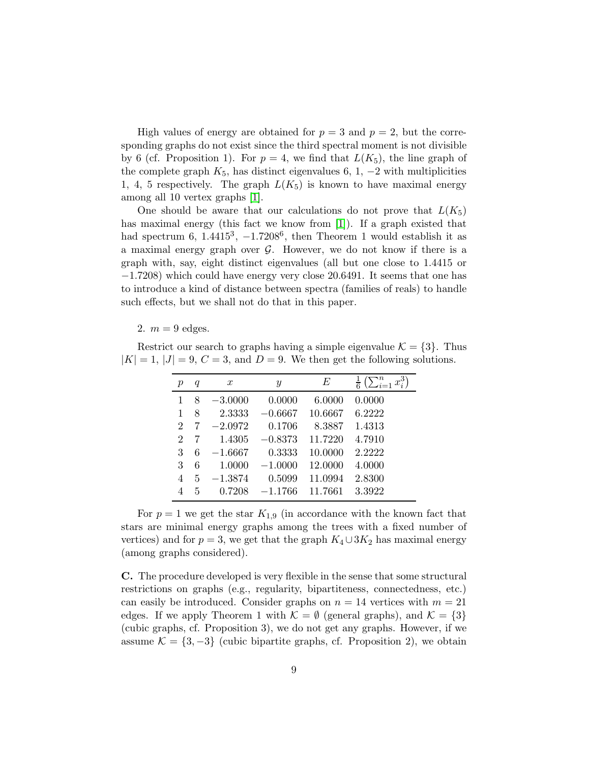High values of energy are obtained for  $p = 3$  and  $p = 2$ , but the corresponding graphs do not exist since the third spectral moment is not divisible by 6 (cf. Proposition 1). For  $p = 4$ , we find that  $L(K_5)$ , the line graph of the complete graph  $K_5$ , has distinct eigenvalues 6, 1,  $-2$  with multiplicities 1, 4, 5 respectively. The graph  $L(K_5)$  is known to have maximal energy among all 10 vertex graphs [\[1\]](#page-14-2).

One should be aware that our calculations do not prove that  $L(K_5)$ has maximal energy (this fact we know from [\[1\]](#page-14-2)). If a graph existed that had spectrum 6,  $1.4415^3$ ,  $-1.7208^6$ , then Theorem 1 would establish it as a maximal energy graph over  $G$ . However, we do not know if there is a graph with, say, eight distinct eigenvalues (all but one close to 1.4415 or −1.7208) which could have energy very close 20.6491. It seems that one has to introduce a kind of distance between spectra (families of reals) to handle such effects, but we shall not do that in this paper.

#### 2.  $m = 9$  edges.

Restrict our search to graphs having a simple eigenvalue  $\mathcal{K} = \{3\}$ . Thus  $|K| = 1$ ,  $|J| = 9$ ,  $C = 3$ , and  $D = 9$ . We then get the following solutions.

| $\boldsymbol{p}$ | q | $\boldsymbol{x}$ | $\boldsymbol{y}$ | E       |        |
|------------------|---|------------------|------------------|---------|--------|
| 1                | 8 | $-3.0000$        | 0.0000           | 6.0000  | 0.0000 |
| 1                | 8 | 2.3333           | $-0.6667$        | 10.6667 | 6.2222 |
| 2                |   | $-2.0972$        | 0.1706           | 8.3887  | 1.4313 |
| 2                |   | 1.4305           | $-0.8373$        | 11.7220 | 4.7910 |
| 3                | 6 | $-1.6667$        | 0.3333           | 10.0000 | 2.2222 |
| 3                | 6 | 1.0000           | $-1.0000$        | 12.0000 | 4.0000 |
|                  | 5 | $-1.3874$        | 0.5099           | 11.0994 | 2.8300 |
|                  | 5 | 0.7208           | $-1.1766$        | 11.7661 | 3.3922 |

For  $p = 1$  we get the star  $K_{1,9}$  (in accordance with the known fact that stars are minimal energy graphs among the trees with a fixed number of vertices) and for  $p = 3$ , we get that the graph  $K_4 \cup 3K_2$  has maximal energy (among graphs considered).

C. The procedure developed is very flexible in the sense that some structural restrictions on graphs (e.g., regularity, bipartiteness, connectedness, etc.) can easily be introduced. Consider graphs on  $n = 14$  vertices with  $m = 21$ edges. If we apply Theorem 1 with  $\mathcal{K} = \emptyset$  (general graphs), and  $\mathcal{K} = \{3\}$ (cubic graphs, cf. Proposition 3), we do not get any graphs. However, if we assume  $\mathcal{K} = \{3, -3\}$  (cubic bipartite graphs, cf. Proposition 2), we obtain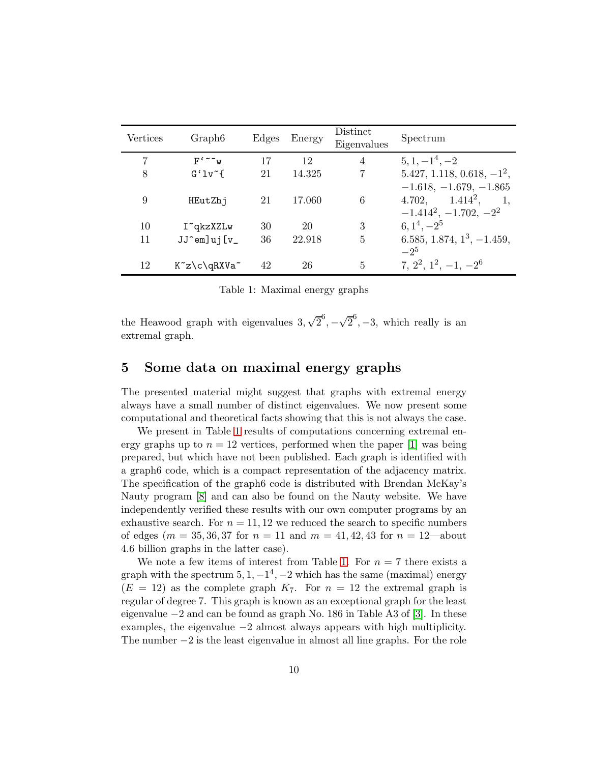| Vertices | Graph <sub>6</sub>    | Edges | Energy | Distinct<br>Eigenvalues | Spectrum                         |
|----------|-----------------------|-------|--------|-------------------------|----------------------------------|
| 7        | $F' \sim w$           | 17    | 12     | $\overline{4}$          | $5, 1, -1^4, -2$                 |
| 8        | $G'1v^{\sim}$ {       | 21    | 14.325 | $\overline{7}$          | $5.427, 1.118, 0.618, -12$ ,     |
|          |                       |       |        |                         | $-1.618, -1.679, -1.865$         |
| 9        | HEutZhj               | 21    | 17.060 | 6                       | $4.702, 1.414^2,$                |
|          |                       |       |        |                         | $-1.414^2$ , $-1.702$ , $-2^2$   |
| 10       | I~qkzXZLw             | 30    | 20     | 3                       | $6, 1^4, -2^5$                   |
| 11       | $JJ$ em] $uj$ [ $v$ _ | 36    | 22.918 | 5                       | 6.585, 1.874, $1^3$ , $-1.459$ , |
|          |                       |       |        |                         | $-2^{5}$                         |
| 12       | K~z\c\qRXVa~          | 42    | 26     | $\overline{5}$          | 7, $2^2$ , $1^2$ , $-1$ , $-2^6$ |

<span id="page-9-0"></span>Table 1: Maximal energy graphs

the Heawood graph with eigenvalues  $3, \sqrt{2}^6, -\sqrt{2}^6, -3,$  which really is an extremal graph.

### 5 Some data on maximal energy graphs

The presented material might suggest that graphs with extremal energy always have a small number of distinct eigenvalues. We now present some computational and theoretical facts showing that this is not always the case.

We present in Table [1](#page-9-0) results of computations concerning extremal energy graphs up to  $n = 12$  vertices, performed when the paper [\[1\]](#page-14-2) was being prepared, but which have not been published. Each graph is identified with a graph6 code, which is a compact representation of the adjacency matrix. The specification of the graph6 code is distributed with Brendan McKay's Nauty program [\[8\]](#page-14-8) and can also be found on the Nauty website. We have independently verified these results with our own computer programs by an exhaustive search. For  $n = 11, 12$  we reduced the search to specific numbers of edges ( $m = 35, 36, 37$  for  $n = 11$  and  $m = 41, 42, 43$  for  $n = 12$ —about 4.6 billion graphs in the latter case).

We note a few items of interest from Table [1.](#page-9-0) For  $n = 7$  there exists a graph with the spectrum  $5, 1, -1^4, -2$  which has the same (maximal) energy  $(E = 12)$  as the complete graph  $K_7$ . For  $n = 12$  the extremal graph is regular of degree 7. This graph is known as an exceptional graph for the least eigenvalue −2 and can be found as graph No. 186 in Table A3 of [\[3\]](#page-14-4). In these examples, the eigenvalue  $-2$  almost always appears with high multiplicity. The number −2 is the least eigenvalue in almost all line graphs. For the role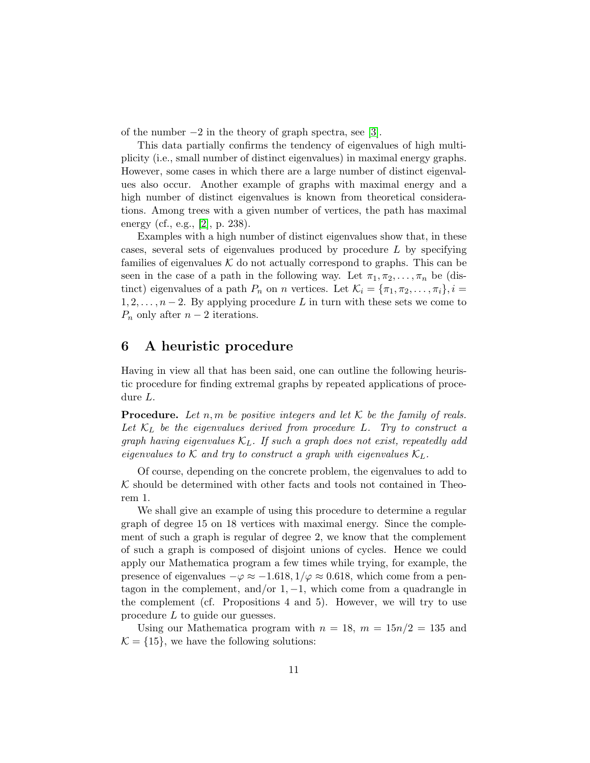of the number  $-2$  in the theory of graph spectra, see [\[3\]](#page-14-4).

This data partially confirms the tendency of eigenvalues of high multiplicity (i.e., small number of distinct eigenvalues) in maximal energy graphs. However, some cases in which there are a large number of distinct eigenvalues also occur. Another example of graphs with maximal energy and a high number of distinct eigenvalues is known from theoretical considerations. Among trees with a given number of vertices, the path has maximal energy (cf., e.g., [\[2\]](#page-14-5), p. 238).

Examples with a high number of distinct eigenvalues show that, in these cases, several sets of eigenvalues produced by procedure L by specifying families of eigenvalues  $K$  do not actually correspond to graphs. This can be seen in the case of a path in the following way. Let  $\pi_1, \pi_2, \ldots, \pi_n$  be (distinct) eigenvalues of a path  $P_n$  on n vertices. Let  $\mathcal{K}_i = {\pi_1, \pi_2, \dots, \pi_i}, i =$  $1, 2, \ldots, n-2$ . By applying procedure L in turn with these sets we come to  $P_n$  only after  $n-2$  iterations.

### 6 A heuristic procedure

Having in view all that has been said, one can outline the following heuristic procedure for finding extremal graphs by repeated applications of procedure L.

**Procedure.** Let n, m be positive integers and let K be the family of reals. Let  $K_L$  be the eigenvalues derived from procedure L. Try to construct a graph having eigenvalues  $K_L$ . If such a graph does not exist, repeatedly add eigenvalues to K and try to construct a graph with eigenvalues  $\mathcal{K}_L$ .

Of course, depending on the concrete problem, the eigenvalues to add to  $K$  should be determined with other facts and tools not contained in Theorem 1.

We shall give an example of using this procedure to determine a regular graph of degree 15 on 18 vertices with maximal energy. Since the complement of such a graph is regular of degree 2, we know that the complement of such a graph is composed of disjoint unions of cycles. Hence we could apply our Mathematica program a few times while trying, for example, the presence of eigenvalues  $-\varphi \approx -1.618, 1/\varphi \approx 0.618$ , which come from a pentagon in the complement, and/or  $1, -1$ , which come from a quadrangle in the complement (cf. Propositions 4 and 5). However, we will try to use procedure L to guide our guesses.

Using our Mathematica program with  $n = 18$ ,  $m = 15n/2 = 135$  and  $\mathcal{K} = \{15\}$ , we have the following solutions: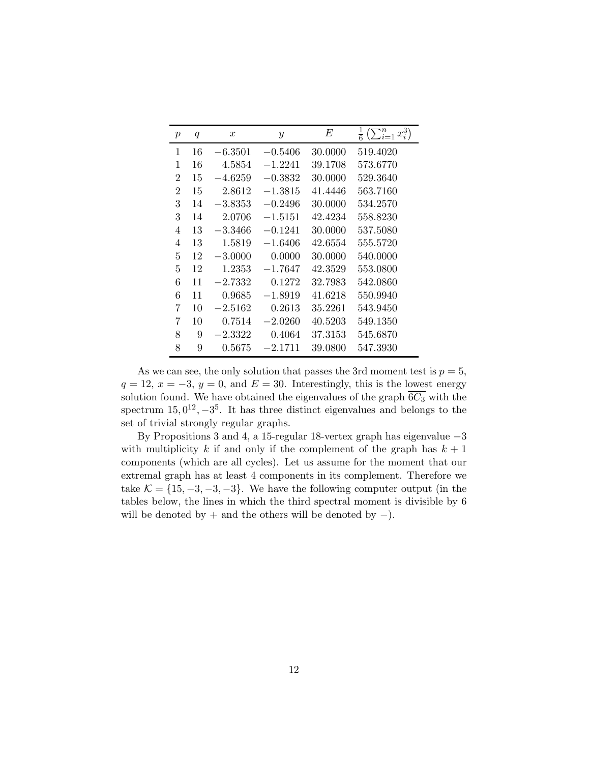| $\boldsymbol{p}$ | q  | $\boldsymbol{x}$ | $\boldsymbol{y}$ | E       | $\sum_{i=1}^n$<br>$x_i^3$<br>$\frac{1}{6}$ |
|------------------|----|------------------|------------------|---------|--------------------------------------------|
| 1                | 16 | $-6.3501$        | $-0.5406$        | 30.0000 | 519.4020                                   |
| 1                | 16 | 4.5854           | $-1.2241$        | 39.1708 | 573.6770                                   |
| $\overline{2}$   | 15 | $-4.6259$        | $-0.3832$        | 30,0000 | 529.3640                                   |
| $\overline{2}$   | 15 | 2.8612           | $-1.3815$        | 41.4446 | 563.7160                                   |
| 3                | 14 | $-3.8353$        | $-0.2496$        | 30,0000 | 534.2570                                   |
| 3                | 14 | 2.0706           | $-1.5151$        | 42.4234 | 558.8230                                   |
| 4                | 13 | $-3.3466$        | $-0.1241$        | 30,0000 | 537.5080                                   |
| 4                | 13 | 1.5819           | $-1.6406$        | 42.6554 | 555.5720                                   |
| 5                | 12 | $-3.0000$        | 0.0000           | 30.0000 | 540.0000                                   |
| 5                | 12 | 1.2353           | $-1.7647$        | 42.3529 | 553.0800                                   |
| 6                | 11 | $-2.7332$        | 0.1272           | 32.7983 | 542.0860                                   |
| 6                | 11 | 0.9685           | $-1.8919$        | 41.6218 | 550.9940                                   |
| 7                | 10 | $-2.5162$        | 0.2613           | 35.2261 | 543.9450                                   |
| 7                | 10 | 0.7514           | $-2.0260$        | 40.5203 | 549.1350                                   |
| 8                | 9  | $-2.3322$        | 0.4064           | 37.3153 | 545.6870                                   |
| 8                | 9  | 0.5675           | $-2.1711$        | 39.0800 | 547.3930                                   |

As we can see, the only solution that passes the 3rd moment test is  $p = 5$ ,  $q = 12, x = -3, y = 0,$  and  $E = 30$ . Interestingly, this is the lowest energy solution found. We have obtained the eigenvalues of the graph  $\overline{6C_3}$  with the spectrum  $15, 0^{12}, -3^5$ . It has three distinct eigenvalues and belongs to the set of trivial strongly regular graphs.

By Propositions 3 and 4, a 15-regular 18-vertex graph has eigenvalue −3 with multiplicity k if and only if the complement of the graph has  $k + 1$ components (which are all cycles). Let us assume for the moment that our extremal graph has at least 4 components in its complement. Therefore we take  $\mathcal{K} = \{15, -3, -3, -3\}$ . We have the following computer output (in the tables below, the lines in which the third spectral moment is divisible by 6 will be denoted by + and the others will be denoted by  $-$ ).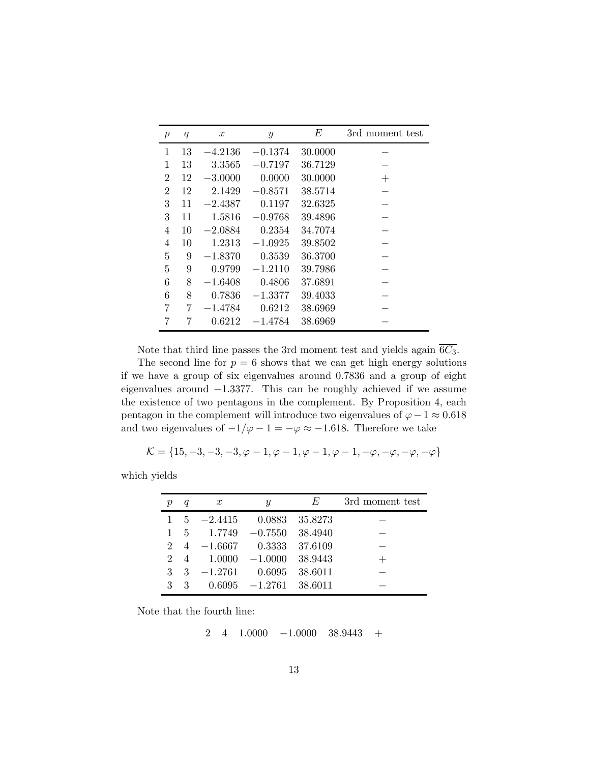| р              | $\boldsymbol{q}$ | $\boldsymbol{x}$ | $\boldsymbol{y}$ | E       | 3rd moment test |
|----------------|------------------|------------------|------------------|---------|-----------------|
| 1              | 13               | $-4.2136$        | $-0.1374$        | 30.0000 |                 |
| 1              | 13               | 3.3565           | -0.7197          | 36.7129 |                 |
| 2              | 12               | $-3.0000$        | 0.0000           | 30.0000 | $^{+}$          |
| $\overline{2}$ | 12               | 2.1429           | -0.8571          | 38.5714 |                 |
| 3              | 11               | $-2.4387$        | 0.1197           | 32.6325 |                 |
| 3              | 11               | 1.5816           | $-0.9768$        | 39.4896 |                 |
| $\overline{4}$ | 10               | $-2.0884$        | 0.2354           | 34.7074 |                 |
| 4              | 10               | 1.2313           | $-1.0925$        | 39.8502 |                 |
| 5              | 9                | $-1.8370$        | 0.3539           | 36.3700 |                 |
| 5              | 9                | 0.9799           | $-1.2110$        | 39.7986 |                 |
| 6              | 8                | $-1.6408$        | 0.4806           | 37.6891 |                 |
| 6              | 8                | 0.7836           | $-1.3377$        | 39.4033 |                 |
| 7              | 7                | $-1.4784$        | 0.6212           | 38.6969 |                 |
| 7              | 7                | 0.6212           | $-1.4784$        | 38.6969 |                 |

Note that third line passes the 3rd moment test and yields again  $\overline{6C_3}$ .

The second line for  $p = 6$  shows that we can get high energy solutions if we have a group of six eigenvalues around 0.7836 and a group of eight eigenvalues around −1.3377. This can be roughly achieved if we assume the existence of two pentagons in the complement. By Proposition 4, each pentagon in the complement will introduce two eigenvalues of  $\varphi - 1 \approx 0.618$ and two eigenvalues of  $-1/\varphi - 1 = -\varphi \approx -1.618$ . Therefore we take

$$
\mathcal{K} = \{15, -3, -3, -3, \varphi - 1, \varphi - 1, \varphi - 1, \varphi - 1, -\varphi, -\varphi, -\varphi, -\varphi\}
$$

which yields

| $\boldsymbol{p}$ | q              | $\boldsymbol{x}$                    | $\boldsymbol{y}$           | $\,E$ | 3rd moment test |
|------------------|----------------|-------------------------------------|----------------------------|-------|-----------------|
|                  | $1\quad 5$     | $-2.4415$ 0.0883 35.8273            |                            |       |                 |
| $\mathbf{1}$     |                | $5 \t 1.7749 \t -0.7550 \t 38.4940$ |                            |       |                 |
| $\mathfrak{D}$   | $\overline{4}$ | $-1.6667$ 0.3333 37.6109            |                            |       |                 |
|                  |                | 2 4 1.0000 $-1.0000$ 38.9443        |                            |       | $\pm$           |
| 3                | - 3            | $-1.2761$ 0.6095 38.6011            |                            |       |                 |
| 3                | 3              |                                     | $0.6095$ $-1.2761$ 38.6011 |       |                 |

Note that the fourth line:

2 4 1.0000 −1.0000 38.9443 +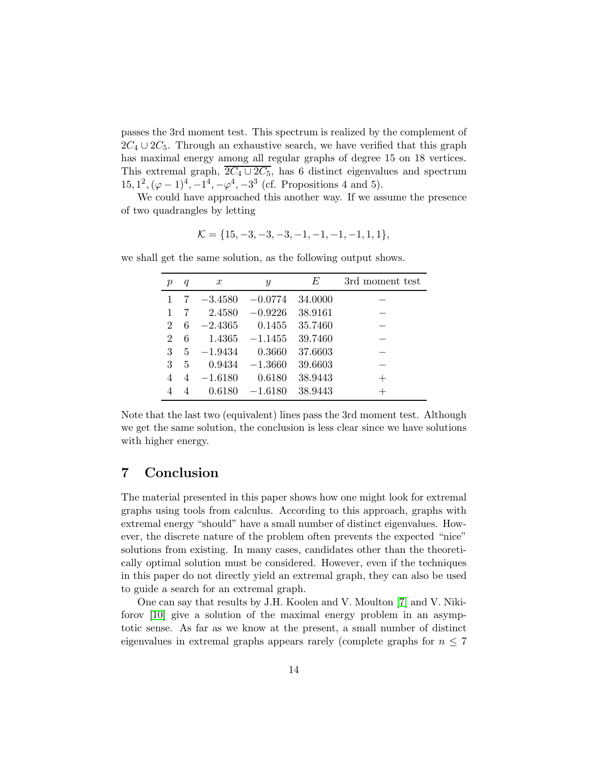passes the 3rd moment test. This spectrum is realized by the complement of  $2C_4 \cup 2C_5$ . Through an exhaustive search, we have verified that this graph has maximal energy among all regular graphs of degree 15 on 18 vertices. This extremal graph,  $2C_4 \cup 2C_5$ , has 6 distinct eigenvalues and spectrum  $15, 1^2, (\varphi - 1)^4, -1^4, -\varphi^4, -3^3$  (cf. Propositions 4 and 5).

We could have approached this another way. If we assume the presence of two quadrangles by letting

$$
\mathcal{K} = \{15, -3, -3, -3, -1, -1, -1, -1, 1, 1\},\
$$

| $\boldsymbol{p}$ | q | $\boldsymbol{x}$ | $\mathcal{Y}$ | E       | 3rd moment test |
|------------------|---|------------------|---------------|---------|-----------------|
|                  |   | $-3.4580$        | $-0.0774$     | 34.0000 |                 |
|                  |   | 2.4580           | $-0.9226$     | 38.9161 |                 |
| 2                | 6 | $-2.4365$        | 0.1455        | 35.7460 |                 |
| 2                | 6 | 1.4365           | $-1.1455$     | 39.7460 |                 |
| 3                | 5 | $-1.9434$        | 0.3660        | 37.6603 |                 |
| 3                | 5 | 0.9434           | $-1.3660$     | 39.6603 |                 |
| 4                | 4 | $-1.6180$        | 0.6180        | 38.9443 |                 |
| 4                |   | 0.6180           | $-1.6180$     | 38.9443 |                 |

we shall get the same solution, as the following output shows.

Note that the last two (equivalent) lines pass the 3rd moment test. Although we get the same solution, the conclusion is less clear since we have solutions with higher energy.

# 7 Conclusion

The material presented in this paper shows how one might look for extremal graphs using tools from calculus. According to this approach, graphs with extremal energy "should" have a small number of distinct eigenvalues. However, the discrete nature of the problem often prevents the expected "nice" solutions from existing. In many cases, candidates other than the theoretically optimal solution must be considered. However, even if the techniques in this paper do not directly yield an extremal graph, they can also be used to guide a search for an extremal graph.

One can say that results by J.H. Koolen and V. Moulton [\[7\]](#page-14-3) and V. Nikiforov [\[10\]](#page-15-1) give a solution of the maximal energy problem in an asymptotic sense. As far as we know at the present, a small number of distinct eigenvalues in extremal graphs appears rarely (complete graphs for  $n \leq 7$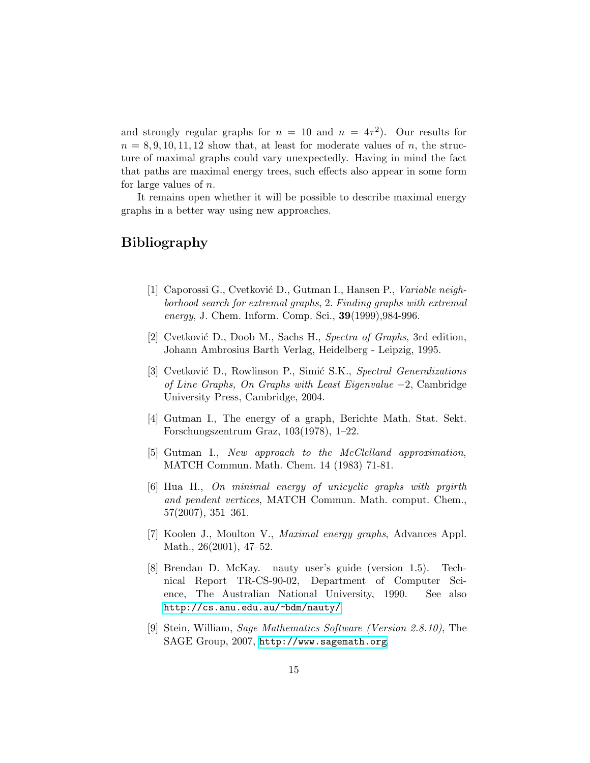and strongly regular graphs for  $n = 10$  and  $n = 4\tau^2$ ). Our results for  $n = 8, 9, 10, 11, 12$  show that, at least for moderate values of n, the structure of maximal graphs could vary unexpectedly. Having in mind the fact that paths are maximal energy trees, such effects also appear in some form for large values of  $n$ .

It remains open whether it will be possible to describe maximal energy graphs in a better way using new approaches.

# Bibliography

- <span id="page-14-2"></span>[1] Caporossi G., Cvetković D., Gutman I., Hansen P., Variable neighborhood search for extremal graphs, 2. Finding graphs with extremal *energy*, J. Chem. Inform. Comp. Sci.,  $39(1999)$ ,  $984-996$ .
- <span id="page-14-5"></span><span id="page-14-4"></span>[2] Cvetković D., Doob M., Sachs H., Spectra of Graphs, 3rd edition, Johann Ambrosius Barth Verlag, Heidelberg - Leipzig, 1995.
- [3] Cvetković D., Rowlinson P., Simić S.K., Spectral Generalizations of Line Graphs, On Graphs with Least Eigenvalue −2, Cambridge University Press, Cambridge, 2004.
- <span id="page-14-6"></span><span id="page-14-0"></span>[4] Gutman I., The energy of a graph, Berichte Math. Stat. Sekt. Forschungszentrum Graz, 103(1978), 1–22.
- [5] Gutman I., New approach to the McClelland approximation, MATCH Commun. Math. Chem. 14 (1983) 71-81.
- <span id="page-14-1"></span>[6] Hua H., On minimal energy of unicyclic graphs with prgirth and pendent vertices, MATCH Commun. Math. comput. Chem., 57(2007), 351–361.
- <span id="page-14-3"></span>[7] Koolen J., Moulton V., Maximal energy graphs, Advances Appl. Math., 26(2001), 47–52.
- <span id="page-14-8"></span>[8] Brendan D. McKay. nauty user's guide (version 1.5). Technical Report TR-CS-90-02, Department of Computer Science, The Australian National University, 1990. See also <http://cs.anu.edu.au/~bdm/nauty/>.
- <span id="page-14-7"></span>[9] Stein, William, Sage Mathematics Software (Version 2.8.10), The SAGE Group, 2007, <http://www.sagemath.org>.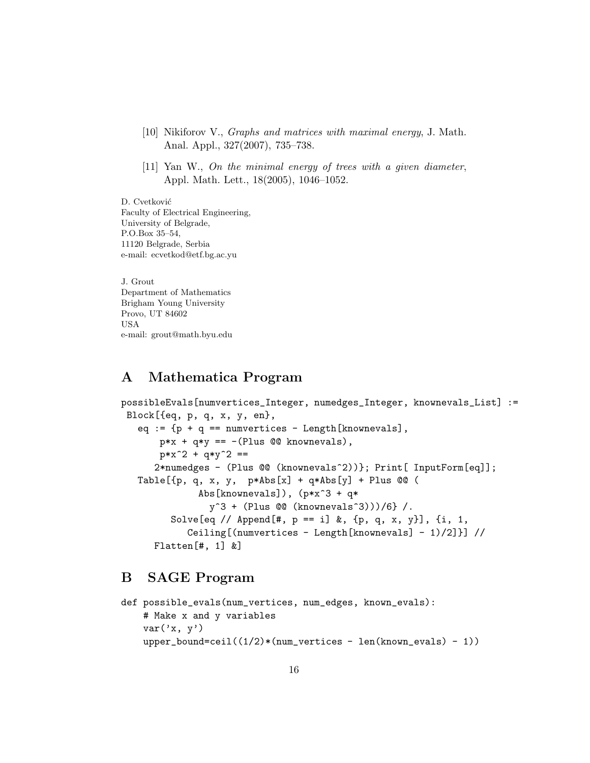- <span id="page-15-1"></span><span id="page-15-0"></span>[10] Nikiforov V., *Graphs and matrices with maximal energy*, J. Math. Anal. Appl., 327(2007), 735–738.
- [11] Yan W., On the minimal energy of trees with a given diameter, Appl. Math. Lett., 18(2005), 1046–1052.

D. Cvetković Faculty of Electrical Engineering, University of Belgrade, P.O.Box 35–54, 11120 Belgrade, Serbia e-mail: ecvetkod@etf.bg.ac.yu

J. Grout Department of Mathematics Brigham Young University Provo, UT 84602 USA e-mail: grout@math.byu.edu

# <span id="page-15-2"></span>A Mathematica Program

```
possibleEvals[numvertices_Integer, numedges_Integer, knownevals_List] :=
Block[{eq, p, q, x, y, en},
  eq := {p + q == numvertices - Length[knownevals]},
      p*x + q*y == -(Plus @@ knownevals),
      px*x^2 + q*y^2 ==2*numedges - (Plus @@ (knownevals^2))}; Print[ InputForm[eq]];
  Table[\{p, q, x, y, p*Abs[x] + q*Abs[y] + Plus @@(Abs[knownevals]), (p*x^3 + q*
               y^3 + (Plus @@ (knownevals^3)))/6} /.
        Solve[eq // Append[#, p == i] &, {p, q, x, y}], {i, 1,
           Ceiling[(numvertices - Length[knownevals] - 1)/2]}] //
     Flatten[#, 1] &]
```
# <span id="page-15-3"></span>B SAGE Program

```
def possible_evals(num_vertices, num_edges, known_evals):
   # Make x and y variables
   var('x, y')upper_bound=ceil((1/2)*(num_vertices - len(known_evals) - 1))
```